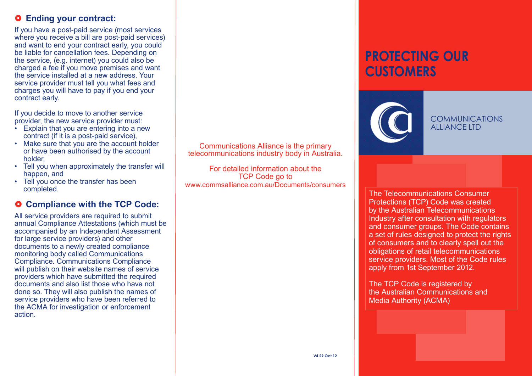#### ~ **Ending your contract:**

If you have a post-paid service (most services where you receive a bill are post-paid services) and want to end your contract early, you could be liable for cancellation fees. Depending on the service, (e.g. internet) you could also be charged a fee if you move premises and want the service installed at a new address. Your service provider must tell you what fees and charges you will have to pay if you end your contract early.

If you decide to move to another service provider, the new service provider must:

- Explain that you are entering into a new contract (if it is a post-paid service),
- Make sure that you are the account holder or have been authorised by the account holder,
- Tell you when approximately the transfer will happen, and
- Tell you once the transfer has been completed.

#### ~ **Compliance with the TCP Code:**

All service providers are required to submit annual Compliance Attestations (which must be accompanied by an Independent Assessment for large service providers) and other documents to a newly created compliance monitoring body called Communications Compliance. Communications Compliance will publish on their website names of service providers which have submitted the required documents and also list those who have not done so. They will also publish the names of service providers who have been referred to the ACMA for investigation or enforcement action.

Communications Alliance is the primary telecommunications industry body in Australia.

For detailed information about the TCP Code go to www.commsalliance.com.au/Documents/consumers

# **PROTECTING OUR CUSTOMERS**



**COMMUNICATIONS ALLIANCE LTD** 

The Telecommunications Consumer Protections (TCP) Code was created by the Australian Telecommunications Industry after consultation with regulators and consumer groups. The Code contains a set of rules designed to protect the rights of consumers and to clearly spell out the obligations of retail telecommunications service providers. Most of the Code rules apply from 1st September 2012.

The TCP Code is registered by the Australian Communications and Media Authority (ACMA)